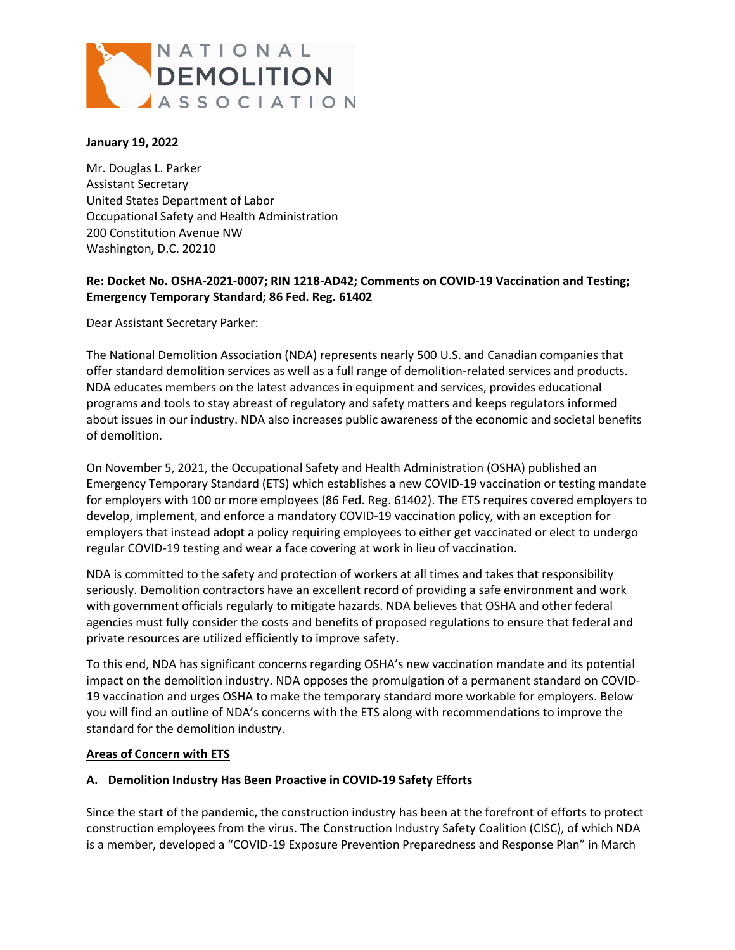

#### **January 19, 2022**

Mr. Douglas L. Parker Assistant Secretary United States Department of Labor Occupational Safety and Health Administration 200 Constitution Avenue NW Washington, D.C. 20210

#### **Re: Docket No. OSHA-2021-0007; RIN 1218-AD42; Comments on COVID-19 Vaccination and Testing; Emergency Temporary Standard; 86 Fed. Reg. 61402**

Dear Assistant Secretary Parker:

The National Demolition Association (NDA) represents nearly 500 U.S. and Canadian companies that offer standard demolition services as well as a full range of demolition-related services and products. NDA educates members on the latest advances in equipment and services, provides educational programs and tools to stay abreast of regulatory and safety matters and keeps regulators informed about issues in our industry. NDA also increases public awareness of the economic and societal benefits of demolition.

On November 5, 2021, the Occupational Safety and Health Administration (OSHA) published an Emergency Temporary Standard (ETS) which establishes a new COVID-19 vaccination or testing mandate for employers with 100 or more employees (86 Fed. Reg. 61402). The ETS requires covered employers to develop, implement, and enforce a mandatory COVID-19 vaccination policy, with an exception for employers that instead adopt a policy requiring employees to either get vaccinated or elect to undergo regular COVID-19 testing and wear a face covering at work in lieu of vaccination.

NDA is committed to the safety and protection of workers at all times and takes that responsibility seriously. Demolition contractors have an excellent record of providing a safe environment and work with government officials regularly to mitigate hazards. NDA believes that OSHA and other federal agencies must fully consider the costs and benefits of proposed regulations to ensure that federal and private resources are utilized efficiently to improve safety.

To this end, NDA has significant concerns regarding OSHA's new vaccination mandate and its potential impact on the demolition industry. NDA opposes the promulgation of a permanent standard on COVID-19 vaccination and urges OSHA to make the temporary standard more workable for employers. Below you will find an outline of NDA's concerns with the ETS along with recommendations to improve the standard for the demolition industry.

#### **Areas of Concern with ETS**

#### **A. Demolition Industry Has Been Proactive in COVID-19 Safety Efforts**

Since the start of the pandemic, the construction industry has been at the forefront of efforts to protect construction employees from the virus. The Construction Industry Safety Coalition (CISC), of which NDA is a member, developed a "COVID-19 Exposure Prevention Preparedness and Response Plan" in March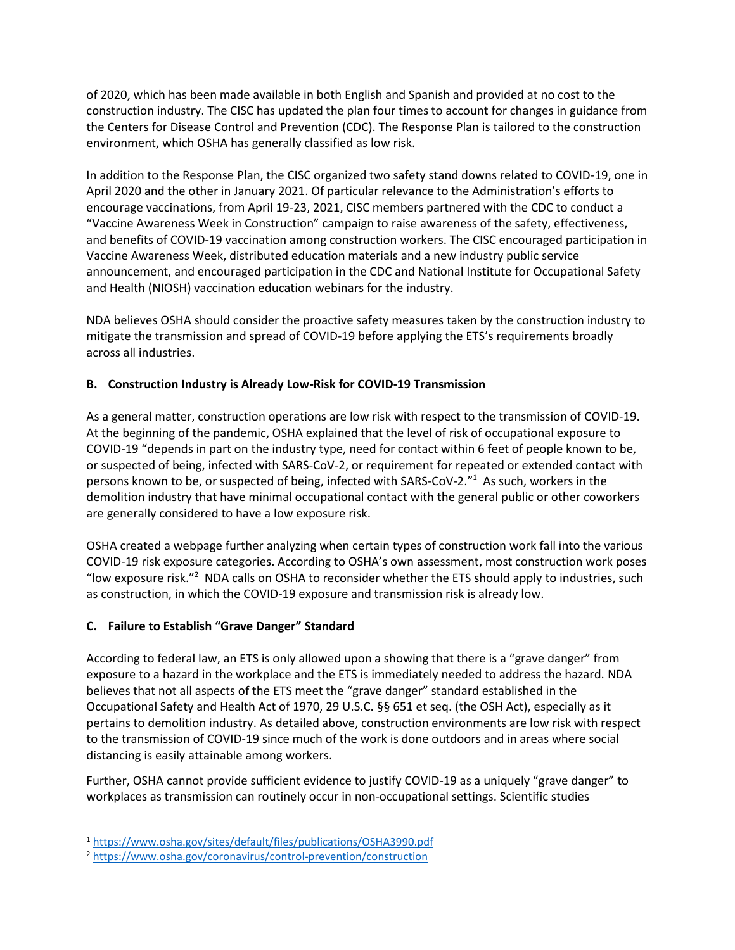of 2020, which has been made available in both English and Spanish and provided at no cost to the construction industry. The CISC has updated the plan four times to account for changes in guidance from the Centers for Disease Control and Prevention (CDC). The Response Plan is tailored to the construction environment, which OSHA has generally classified as low risk.

In addition to the Response Plan, the CISC organized two safety stand downs related to COVID-19, one in April 2020 and the other in January 2021. Of particular relevance to the Administration's efforts to encourage vaccinations, from April 19-23, 2021, CISC members partnered with the CDC to conduct a "Vaccine Awareness Week in Construction" campaign to raise awareness of the safety, effectiveness, and benefits of COVID-19 vaccination among construction workers. The CISC encouraged participation in Vaccine Awareness Week, distributed education materials and a new industry public service announcement, and encouraged participation in the CDC and National Institute for Occupational Safety and Health (NIOSH) vaccination education webinars for the industry.

NDA believes OSHA should consider the proactive safety measures taken by the construction industry to mitigate the transmission and spread of COVID-19 before applying the ETS's requirements broadly across all industries.

# **B. Construction Industry is Already Low-Risk for COVID-19 Transmission**

As a general matter, construction operations are low risk with respect to the transmission of COVID-19. At the beginning of the pandemic, OSHA explained that the level of risk of occupational exposure to COVID-19 "depends in part on the industry type, need for contact within 6 feet of people known to be, or suspected of being, infected with SARS-CoV-2, or requirement for repeated or extended contact with persons known to be, or suspected of being, infected with SARS-CoV-2."<sup>1</sup> As such, workers in the demolition industry that have minimal occupational contact with the general public or other coworkers are generally considered to have a low exposure risk.

OSHA created a webpage further analyzing when certain types of construction work fall into the various COVID-19 risk exposure categories. According to OSHA's own assessment, most construction work poses "low exposure risk."<sup>2</sup> NDA calls on OSHA to reconsider whether the ETS should apply to industries, such as construction, in which the COVID-19 exposure and transmission risk is already low.

# **C. Failure to Establish "Grave Danger" Standard**

 $\overline{\phantom{a}}$ 

According to federal law, an ETS is only allowed upon a showing that there is a "grave danger" from exposure to a hazard in the workplace and the ETS is immediately needed to address the hazard. NDA believes that not all aspects of the ETS meet the "grave danger" standard established in the Occupational Safety and Health Act of 1970, 29 U.S.C. §§ 651 et seq. (the OSH Act), especially as it pertains to demolition industry. As detailed above, construction environments are low risk with respect to the transmission of COVID-19 since much of the work is done outdoors and in areas where social distancing is easily attainable among workers.

Further, OSHA cannot provide sufficient evidence to justify COVID-19 as a uniquely "grave danger" to workplaces as transmission can routinely occur in non-occupational settings. Scientific studies

<sup>1</sup> <https://www.osha.gov/sites/default/files/publications/OSHA3990.pdf>

<sup>2</sup> <https://www.osha.gov/coronavirus/control-prevention/construction>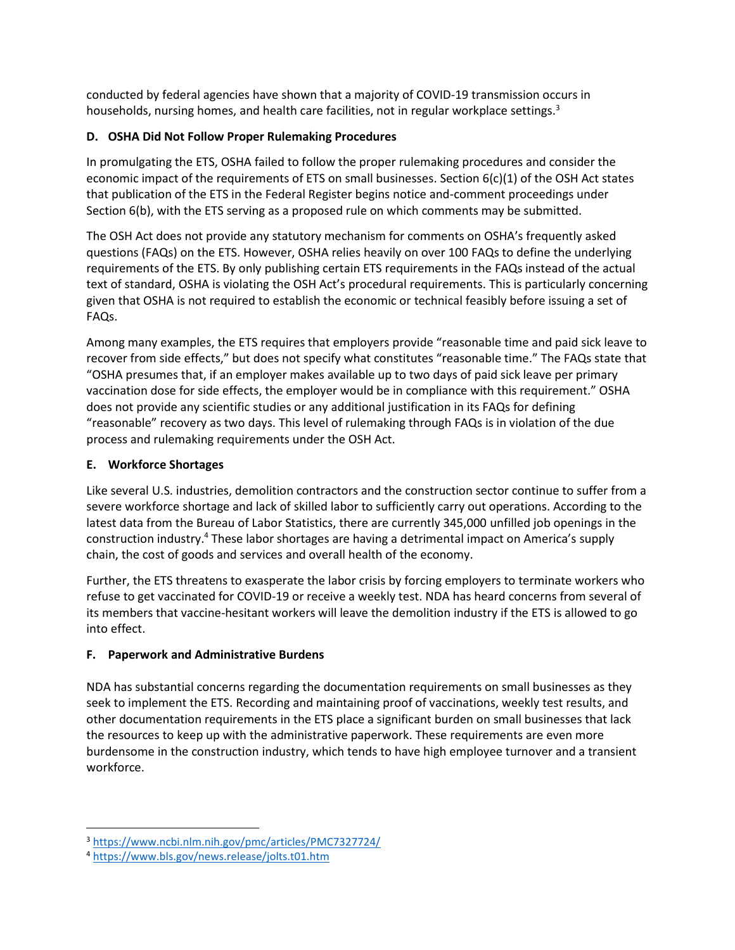conducted by federal agencies have shown that a majority of COVID-19 transmission occurs in households, nursing homes, and health care facilities, not in regular workplace settings.<sup>3</sup>

# **D. OSHA Did Not Follow Proper Rulemaking Procedures**

In promulgating the ETS, OSHA failed to follow the proper rulemaking procedures and consider the economic impact of the requirements of ETS on small businesses. Section  $6(c)(1)$  of the OSH Act states that publication of the ETS in the Federal Register begins notice and-comment proceedings under Section 6(b), with the ETS serving as a proposed rule on which comments may be submitted.

The OSH Act does not provide any statutory mechanism for comments on OSHA's frequently asked questions (FAQs) on the ETS. However, OSHA relies heavily on over 100 FAQs to define the underlying requirements of the ETS. By only publishing certain ETS requirements in the FAQs instead of the actual text of standard, OSHA is violating the OSH Act's procedural requirements. This is particularly concerning given that OSHA is not required to establish the economic or technical feasibly before issuing a set of FAQs.

Among many examples, the ETS requires that employers provide "reasonable time and paid sick leave to recover from side effects," but does not specify what constitutes "reasonable time." The FAQs state that "OSHA presumes that, if an employer makes available up to two days of paid sick leave per primary vaccination dose for side effects, the employer would be in compliance with this requirement." OSHA does not provide any scientific studies or any additional justification in its FAQs for defining "reasonable" recovery as two days. This level of rulemaking through FAQs is in violation of the due process and rulemaking requirements under the OSH Act.

# **E. Workforce Shortages**

Like several U.S. industries, demolition contractors and the construction sector continue to suffer from a severe workforce shortage and lack of skilled labor to sufficiently carry out operations. According to the latest data from the Bureau of Labor Statistics, there are currently 345,000 unfilled job openings in the construction industry.<sup>4</sup> These labor shortages are having a detrimental impact on America's supply chain, the cost of goods and services and overall health of the economy.

Further, the ETS threatens to exasperate the labor crisis by forcing employers to terminate workers who refuse to get vaccinated for COVID-19 or receive a weekly test. NDA has heard concerns from several of its members that vaccine-hesitant workers will leave the demolition industry if the ETS is allowed to go into effect.

# **F. Paperwork and Administrative Burdens**

NDA has substantial concerns regarding the documentation requirements on small businesses as they seek to implement the ETS. Recording and maintaining proof of vaccinations, weekly test results, and other documentation requirements in the ETS place a significant burden on small businesses that lack the resources to keep up with the administrative paperwork. These requirements are even more burdensome in the construction industry, which tends to have high employee turnover and a transient workforce.

 $\overline{\phantom{a}}$ 

<sup>3</sup> <https://www.ncbi.nlm.nih.gov/pmc/articles/PMC7327724/>

<sup>4</sup> <https://www.bls.gov/news.release/jolts.t01.htm>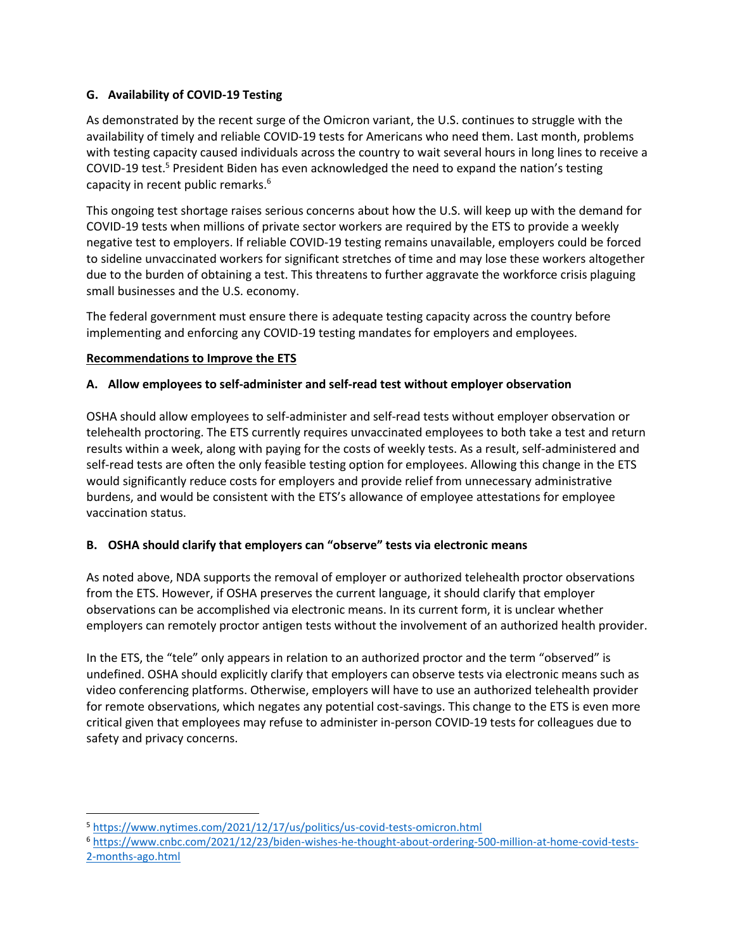# **G. Availability of COVID-19 Testing**

As demonstrated by the recent surge of the Omicron variant, the U.S. continues to struggle with the availability of timely and reliable COVID-19 tests for Americans who need them. Last month, problems with testing capacity caused individuals across the country to wait several hours in long lines to receive a COVID-19 test.<sup>5</sup> President Biden has even acknowledged the need to expand the nation's testing capacity in recent public remarks.<sup>6</sup>

This ongoing test shortage raises serious concerns about how the U.S. will keep up with the demand for COVID-19 tests when millions of private sector workers are required by the ETS to provide a weekly negative test to employers. If reliable COVID-19 testing remains unavailable, employers could be forced to sideline unvaccinated workers for significant stretches of time and may lose these workers altogether due to the burden of obtaining a test. This threatens to further aggravate the workforce crisis plaguing small businesses and the U.S. economy.

The federal government must ensure there is adequate testing capacity across the country before implementing and enforcing any COVID-19 testing mandates for employers and employees.

# **Recommendations to Improve the ETS**

 $\overline{a}$ 

# **A. Allow employees to self-administer and self-read test without employer observation**

OSHA should allow employees to self-administer and self-read tests without employer observation or telehealth proctoring. The ETS currently requires unvaccinated employees to both take a test and return results within a week, along with paying for the costs of weekly tests. As a result, self-administered and self-read tests are often the only feasible testing option for employees. Allowing this change in the ETS would significantly reduce costs for employers and provide relief from unnecessary administrative burdens, and would be consistent with the ETS's allowance of employee attestations for employee vaccination status.

# **B. OSHA should clarify that employers can "observe" tests via electronic means**

As noted above, NDA supports the removal of employer or authorized telehealth proctor observations from the ETS. However, if OSHA preserves the current language, it should clarify that employer observations can be accomplished via electronic means. In its current form, it is unclear whether employers can remotely proctor antigen tests without the involvement of an authorized health provider.

In the ETS, the "tele" only appears in relation to an authorized proctor and the term "observed" is undefined. OSHA should explicitly clarify that employers can observe tests via electronic means such as video conferencing platforms. Otherwise, employers will have to use an authorized telehealth provider for remote observations, which negates any potential cost-savings. This change to the ETS is even more critical given that employees may refuse to administer in-person COVID-19 tests for colleagues due to safety and privacy concerns.

<sup>5</sup> <https://www.nytimes.com/2021/12/17/us/politics/us-covid-tests-omicron.html>

<sup>6</sup> [https://www.cnbc.com/2021/12/23/biden-wishes-he-thought-about-ordering-500-million-at-home-covid-tests-](https://www.cnbc.com/2021/12/23/biden-wishes-he-thought-about-ordering-500-million-at-home-covid-tests-2-months-ago.html)[2-months-ago.html](https://www.cnbc.com/2021/12/23/biden-wishes-he-thought-about-ordering-500-million-at-home-covid-tests-2-months-ago.html)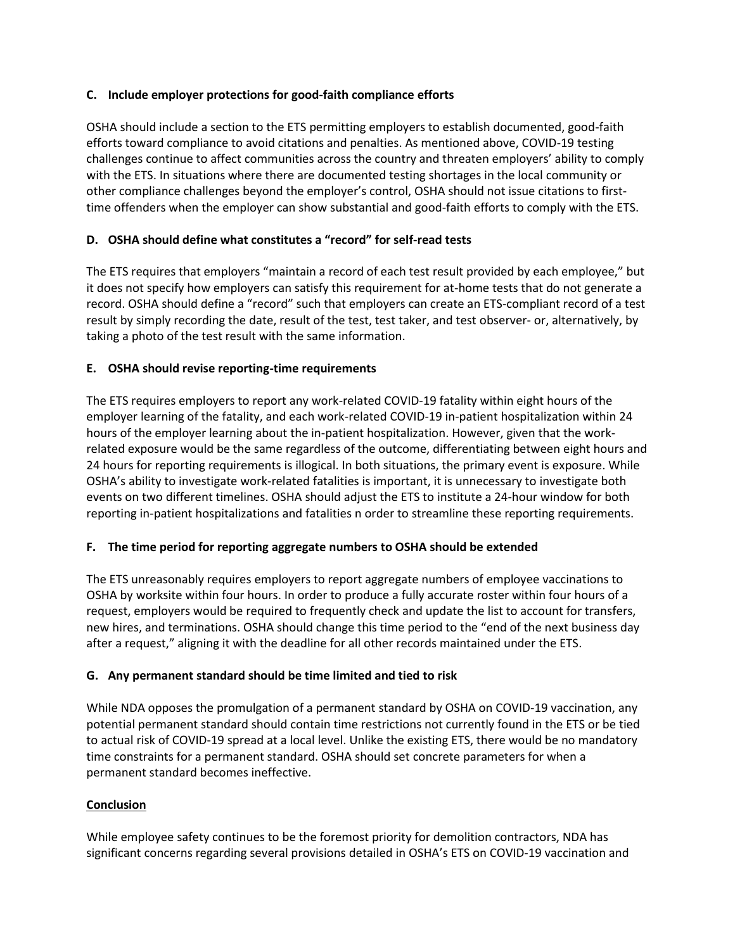#### **C. Include employer protections for good-faith compliance efforts**

OSHA should include a section to the ETS permitting employers to establish documented, good-faith efforts toward compliance to avoid citations and penalties. As mentioned above, COVID-19 testing challenges continue to affect communities across the country and threaten employers' ability to comply with the ETS. In situations where there are documented testing shortages in the local community or other compliance challenges beyond the employer's control, OSHA should not issue citations to firsttime offenders when the employer can show substantial and good-faith efforts to comply with the ETS.

## **D. OSHA should define what constitutes a "record" for self-read tests**

The ETS requires that employers "maintain a record of each test result provided by each employee," but it does not specify how employers can satisfy this requirement for at-home tests that do not generate a record. OSHA should define a "record" such that employers can create an ETS-compliant record of a test result by simply recording the date, result of the test, test taker, and test observer- or, alternatively, by taking a photo of the test result with the same information.

#### **E. OSHA should revise reporting-time requirements**

The ETS requires employers to report any work-related COVID-19 fatality within eight hours of the employer learning of the fatality, and each work-related COVID-19 in-patient hospitalization within 24 hours of the employer learning about the in-patient hospitalization. However, given that the workrelated exposure would be the same regardless of the outcome, differentiating between eight hours and 24 hours for reporting requirements is illogical. In both situations, the primary event is exposure. While OSHA's ability to investigate work-related fatalities is important, it is unnecessary to investigate both events on two different timelines. OSHA should adjust the ETS to institute a 24-hour window for both reporting in-patient hospitalizations and fatalities n order to streamline these reporting requirements.

# **F. The time period for reporting aggregate numbers to OSHA should be extended**

The ETS unreasonably requires employers to report aggregate numbers of employee vaccinations to OSHA by worksite within four hours. In order to produce a fully accurate roster within four hours of a request, employers would be required to frequently check and update the list to account for transfers, new hires, and terminations. OSHA should change this time period to the "end of the next business day after a request," aligning it with the deadline for all other records maintained under the ETS.

#### **G. Any permanent standard should be time limited and tied to risk**

While NDA opposes the promulgation of a permanent standard by OSHA on COVID-19 vaccination, any potential permanent standard should contain time restrictions not currently found in the ETS or be tied to actual risk of COVID-19 spread at a local level. Unlike the existing ETS, there would be no mandatory time constraints for a permanent standard. OSHA should set concrete parameters for when a permanent standard becomes ineffective.

# **Conclusion**

While employee safety continues to be the foremost priority for demolition contractors, NDA has significant concerns regarding several provisions detailed in OSHA's ETS on COVID-19 vaccination and